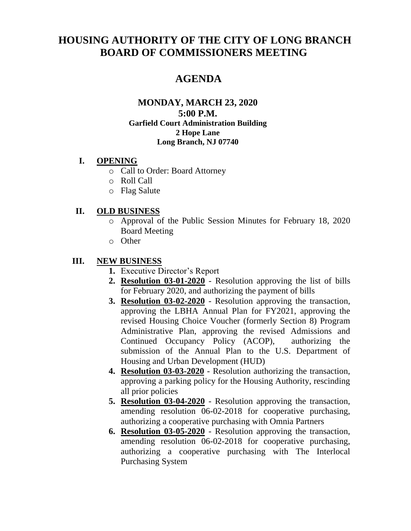# **HOUSING AUTHORITY OF THE CITY OF LONG BRANCH BOARD OF COMMISSIONERS MEETING**

## **AGENDA**

#### **MONDAY, MARCH 23, 2020 5:00 P.M. Garfield Court Administration Building 2 Hope Lane Long Branch, NJ 07740**

#### **I. OPENING**

- o Call to Order: Board Attorney
- o Roll Call
- o Flag Salute

#### **II. OLD BUSINESS**

- o Approval of the Public Session Minutes for February 18, 2020 Board Meeting
- o Other

#### **III. NEW BUSINESS**

- **1.** Executive Director's Report
- **2. Resolution 03-01-2020** Resolution approving the list of bills for February 2020, and authorizing the payment of bills
- **3. Resolution 03-02-2020** Resolution approving the transaction, approving the LBHA Annual Plan for FY2021, approving the revised Housing Choice Voucher (formerly Section 8) Program Administrative Plan, approving the revised Admissions and Continued Occupancy Policy (ACOP), authorizing the submission of the Annual Plan to the U.S. Department of Housing and Urban Development (HUD)
- **4. Resolution 03-03-2020** Resolution authorizing the transaction, approving a parking policy for the Housing Authority, rescinding all prior policies
- **5. Resolution 03-04-2020** Resolution approving the transaction, amending resolution 06-02-2018 for cooperative purchasing, authorizing a cooperative purchasing with Omnia Partners
- **6. Resolution 03-05-2020** Resolution approving the transaction, amending resolution 06-02-2018 for cooperative purchasing, authorizing a cooperative purchasing with The Interlocal Purchasing System